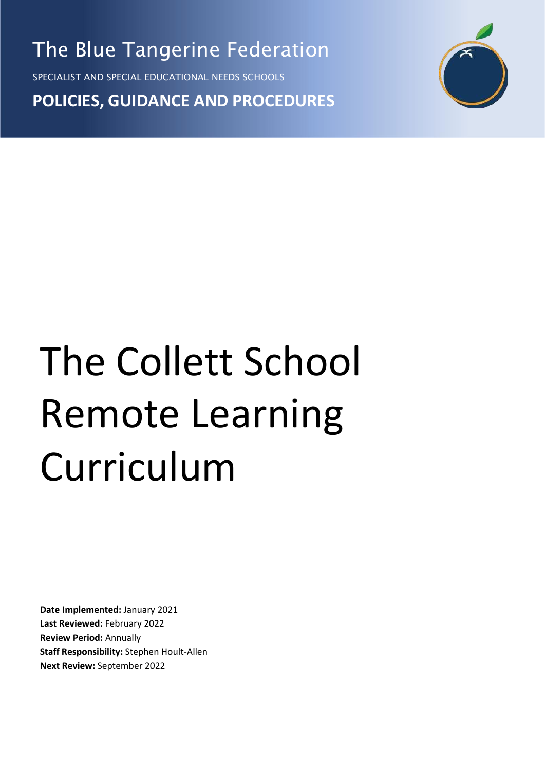The Blue Tangerine Federation

SPECIALIST AND SPECIAL EDUCATIONAL NEEDS SCHOOLS

**POLICIES, GUIDANCE AND PROCEDURES**



## The Collett School Remote Learning Curriculum

**Date Implemented:** January 2021 **Last Reviewed:** February 2022 **Review Period:** Annually **Staff Responsibility:** Stephen Hoult-Allen **Next Review:** September 2022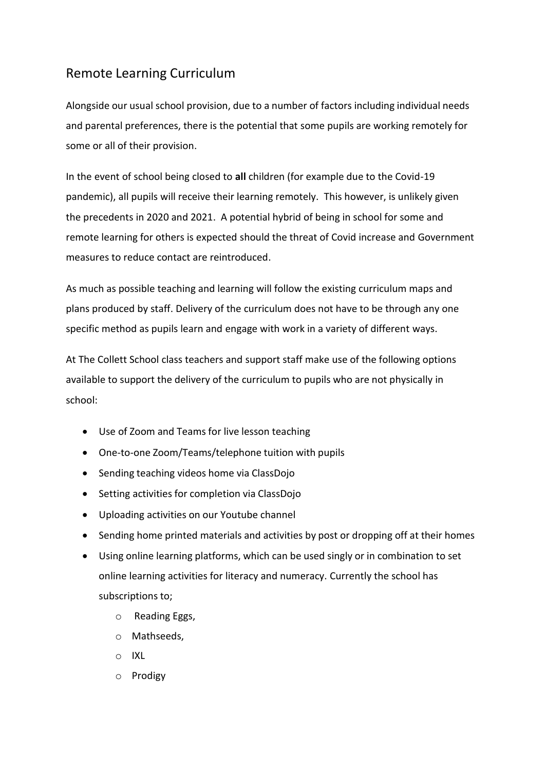## Remote Learning Curriculum

Alongside our usual school provision, due to a number of factors including individual needs and parental preferences, there is the potential that some pupils are working remotely for some or all of their provision.

In the event of school being closed to **all** children (for example due to the Covid-19 pandemic), all pupils will receive their learning remotely. This however, is unlikely given the precedents in 2020 and 2021. A potential hybrid of being in school for some and remote learning for others is expected should the threat of Covid increase and Government measures to reduce contact are reintroduced.

As much as possible teaching and learning will follow the existing curriculum maps and plans produced by staff. Delivery of the curriculum does not have to be through any one specific method as pupils learn and engage with work in a variety of different ways.

At The Collett School class teachers and support staff make use of the following options available to support the delivery of the curriculum to pupils who are not physically in school:

- Use of Zoom and Teams for live lesson teaching
- One-to-one Zoom/Teams/telephone tuition with pupils
- Sending teaching videos home via ClassDojo
- Setting activities for completion via ClassDojo
- Uploading activities on our Youtube channel
- Sending home printed materials and activities by post or dropping off at their homes
- Using online learning platforms, which can be used singly or in combination to set online learning activities for literacy and numeracy. Currently the school has subscriptions to;
	- o Reading Eggs,
	- o Mathseeds,
	- o IXL
	- o Prodigy